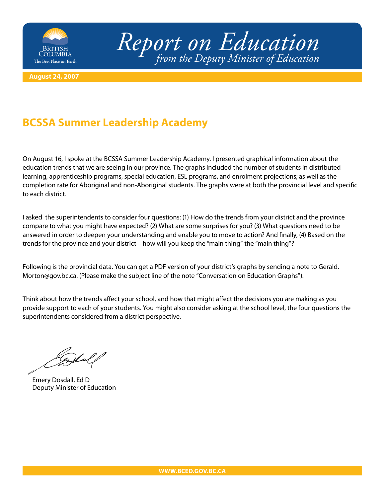

*Report on Education from the Deputy Minister of Education*

**August 24, 2007**

## **BCSSA Summer Leadership Academy**

On August 16, I spoke at the BCSSA Summer Leadership Academy. I presented graphical information about the education trends that we are seeing in our province. The graphs included the number of students in distributed learning, apprenticeship programs, special education, ESL programs, and enrolment projections; as well as the completion rate for Aboriginal and non-Aboriginal students. The graphs were at both the provincial level and specific to each district.

I asked the superintendents to consider four questions: (1) How do the trends from your district and the province compare to what you might have expected? (2) What are some surprises for you? (3) What questions need to be answered in order to deepen your understanding and enable you to move to action? And finally, (4) Based on the trends for the province and your district – how will you keep the "main thing" the "main thing"?

[Following is the provincial data. You can get a PDF version of your district's graphs by sending a note to Gerald.](mailto:gerald.morton@gov.bc.ca) Morton@gov.bc.ca. (Please make the subject line of the note "Conversation on Education Graphs").

Think about how the trends affect your school, and how that might affect the decisions you are making as you provide support to each of your students. You might also consider asking at the school level, the four questions the superintendents considered from a district perspective.

Emery Dosdall, Ed D Deputy Minister of Education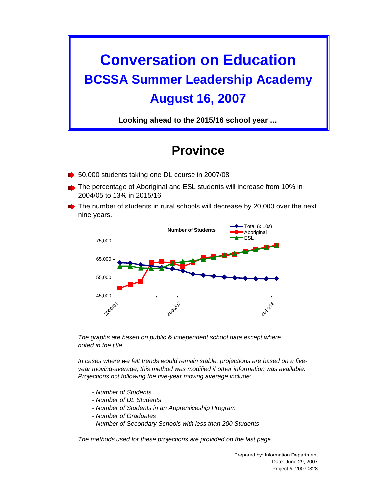## **Conversation on Education BCSSA Summer Leadership Academy August 16, 2007**

**Looking ahead to the 2015/16 school year …**

## **Province**

- 50,000 students taking one DL course in 2007/08
- The percentage of Aboriginal and ESL students will increase from 10% in 2004/05 to 13% in 2015/16
- The number of students in rural schools will decrease by 20,000 over the next nine years.



*The graphs are based on public & independent school data except where noted in the title.*

*In cases where we felt trends would remain stable, projections are based on a fiveyear moving-average; this method was modified if other information was available. Projections not following the five-year moving average include:*

- *Number of Students*
- *Number of DL Students*
- *Number of Students in an Apprenticeship Program*
- *Number of Graduates*
- *Number of Secondary Schools with less than 200 Students*

*The methods used for these projections are provided on the last page.*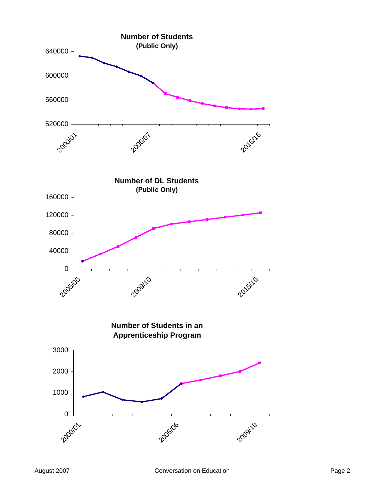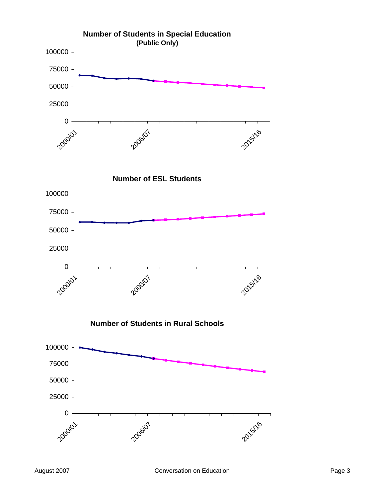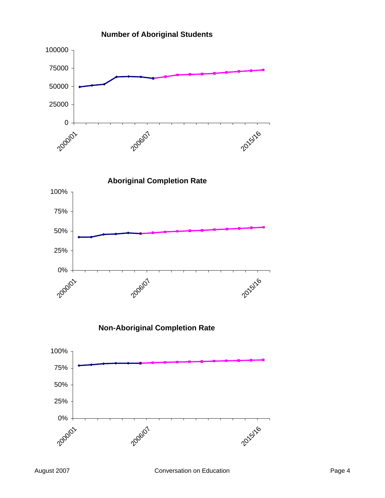

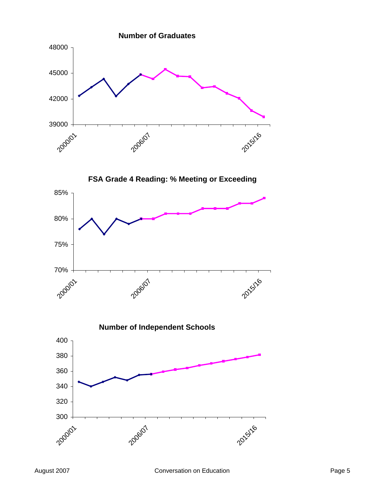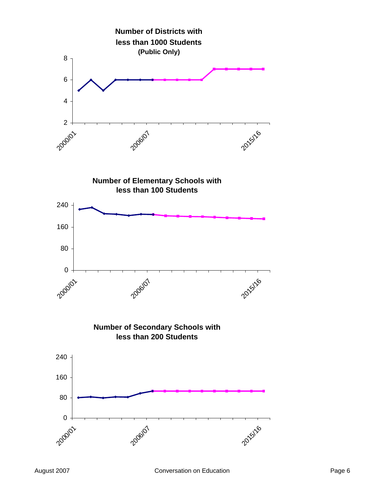